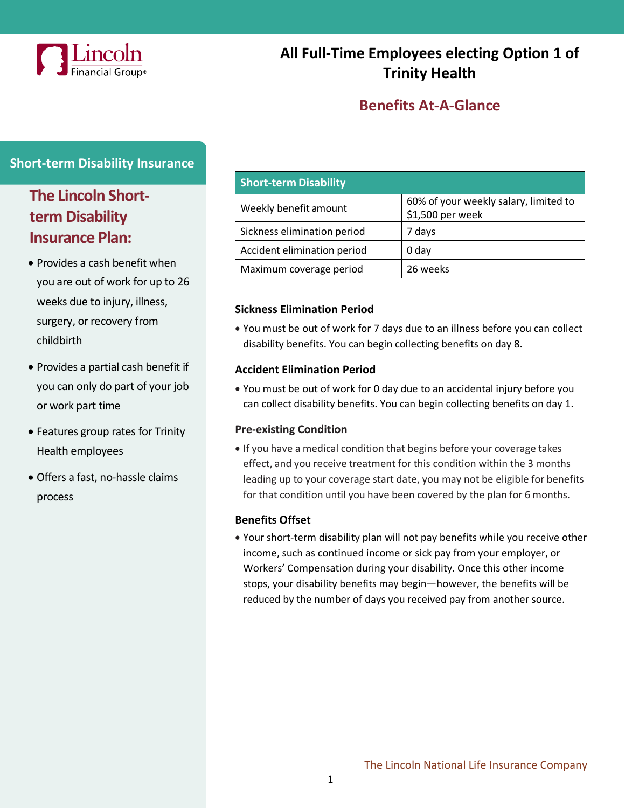

# **All Full-Time Employees electing Option 1 of Trinity Health**

## **Benefits At-A-Glance**

#### **Short-term Disability Insurance**

# **The Lincoln Shortterm Disability Insurance Plan:**

- Provides a cash benefit when you are out of work for up to 26 weeks due to injury, illness, surgery, or recovery from childbirth
- Provides a partial cash benefit if you can only do part of your job or work part time
- Features group rates for Trinity Health employees
- Offers a fast, no-hassle claims process

| <b>Short-term Disability</b> |                                                           |
|------------------------------|-----------------------------------------------------------|
| Weekly benefit amount        | 60% of your weekly salary, limited to<br>\$1,500 per week |
| Sickness elimination period  | 7 days                                                    |
| Accident elimination period  | 0 day                                                     |
| Maximum coverage period      | 26 weeks                                                  |

#### **Sickness Elimination Period**

• You must be out of work for 7 days due to an illness before you can collect disability benefits. You can begin collecting benefits on day 8.

#### **Accident Elimination Period**

• You must be out of work for 0 day due to an accidental injury before you can collect disability benefits. You can begin collecting benefits on day 1.

#### **Pre-existing Condition**

• If you have a medical condition that begins before your coverage takes effect, and you receive treatment for this condition within the 3 months leading up to your coverage start date, you may not be eligible for benefits for that condition until you have been covered by the plan for 6 months.

#### **Benefits Offset**

• Your short-term disability plan will not pay benefits while you receive other income, such as continued income or sick pay from your employer, or Workers' Compensation during your disability. Once this other income stops, your disability benefits may begin—however, the benefits will be reduced by the number of days you received pay from another source.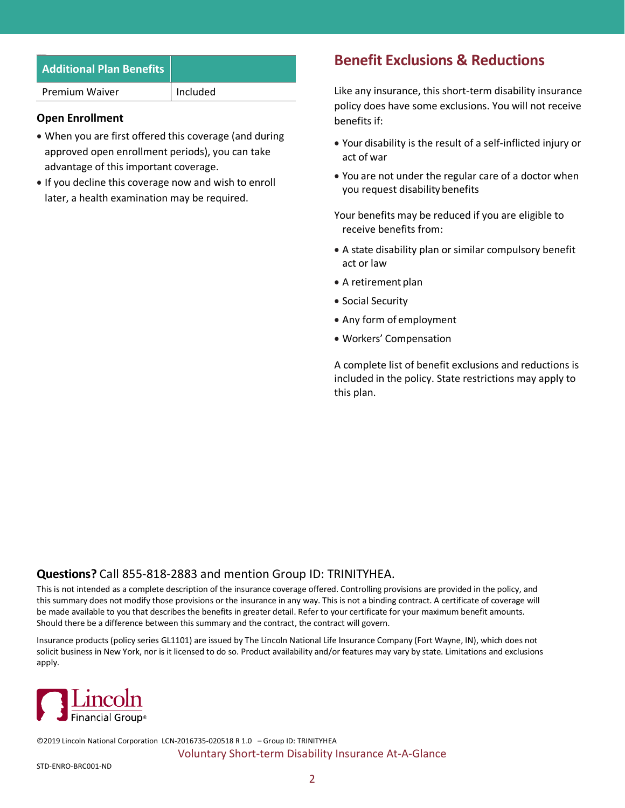| <b>Additional Plan Benefits</b> |          |
|---------------------------------|----------|
| Premium Waiver                  | Included |

#### **Open Enrollment**

- When you are first offered this coverage (and during approved open enrollment periods), you can take advantage of this important coverage.
- If you decline this coverage now and wish to enroll later, a health examination may be required.

### **Benefit Exclusions & Reductions**

Like any insurance, this short-term disability insurance policy does have some exclusions. You will not receive benefits if:

- Your disability is the result of a self-inflicted injury or act of war
- You are not under the regular care of a doctor when you request disability benefits

Your benefits may be reduced if you are eligible to receive benefits from:

- A state disability plan or similar compulsory benefit act or law
- A retirement plan
- Social Security
- Any form of employment
- Workers' Compensation

A complete list of benefit exclusions and reductions is included in the policy. State restrictions may apply to this plan.

#### **Questions?** Call 855-818-2883 and mention Group ID: TRINITYHEA.

This is not intended as a complete description of the insurance coverage offered. Controlling provisions are provided in the policy, and this summary does not modify those provisions or the insurance in any way. This is not a binding contract. A certificate of coverage will be made available to you that describes the benefits in greater detail. Refer to your certificate for your maximum benefit amounts. Should there be a difference between this summary and the contract, the contract will govern.

Insurance products (policy series GL1101) are issued by The Lincoln National Life Insurance Company (Fort Wayne, IN), which does not solicit business in New York, nor is it licensed to do so. Product availability and/or features may vary by state. Limitations and exclusions apply.



©2019 Lincoln National Corporation LCN-2016735-020518 R 1.0 – Group ID: TRINITYHEA Voluntary Short-term Disability Insurance At-A-Glance

STD-ENRO-BRC001-ND